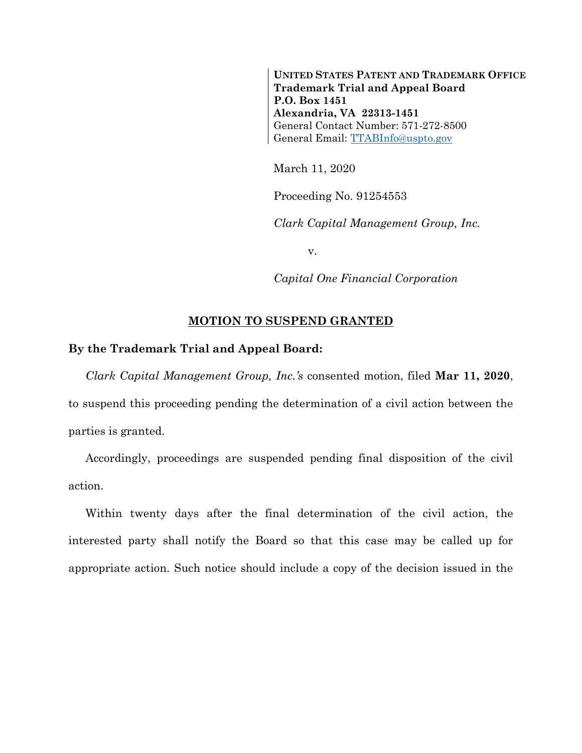**UNITED STATES PATENT AND TRADEMARK OFFICE Trademark Trial and Appeal Board P.O. Box 1451 Alexandria, VA 22313-1451** General Contact Number: 571-272-8500 General Email: [TTABInfo@uspto.gov](mailto:TTABInfo@uspto.gov)

March 11, 2020

Proceeding No. 91254553

*Clark Capital Management Group, Inc.*

v.

*Capital One Financial Corporation* 

## **MOTION TO SUSPEND GRANTED**

## **By the Trademark Trial and Appeal Board:**

*Clark Capital Management Group, Inc.'s* consented motion, filed **Mar 11, 2020**, to suspend this proceeding pending the determination of a civil action between the parties is granted.

Accordingly, proceedings are suspended pending final disposition of the civil action.

Within twenty days after the final determination of the civil action, the interested party shall notify the Board so that this case may be called up for appropriate action. Such notice should include a copy of the decision issued in the